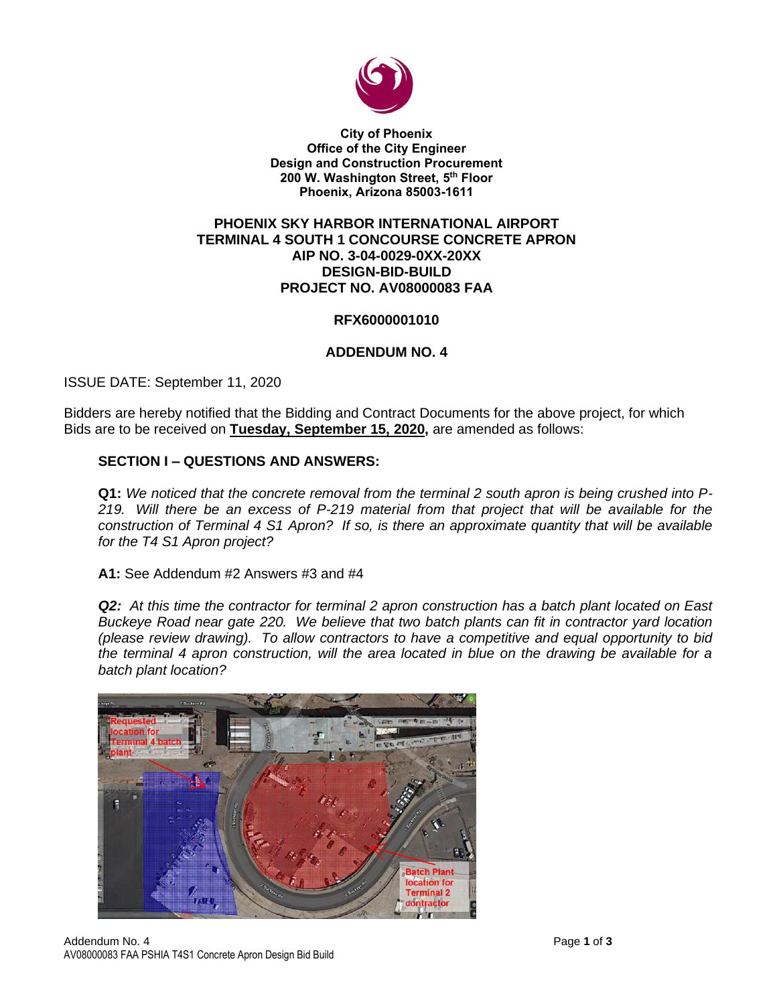

**City of Phoenix Office of the City Engineer Design and Construction Procurement 200 W. Washington Street, 5 th Floor Phoenix, Arizona 85003-1611**

#### **PHOENIX SKY HARBOR INTERNATIONAL AIRPORT TERMINAL 4 SOUTH 1 CONCOURSE CONCRETE APRON AIP NO. 3-04-0029-0XX-20XX DESIGN-BID-BUILD PROJECT NO. AV08000083 FAA**

## **RFX6000001010**

## **ADDENDUM NO. 4**

ISSUE DATE: September 11, 2020

Bidders are hereby notified that the Bidding and Contract Documents for the above project, for which Bids are to be received on **Tuesday, September 15, 2020,** are amended as follows:

#### **SECTION I – QUESTIONS AND ANSWERS:**

**Q1:** *We noticed that the concrete removal from the terminal 2 south apron is being crushed into P-219. Will there be an excess of P-219 material from that project that will be available for the construction of Terminal 4 S1 Apron? If so, is there an approximate quantity that will be available for the T4 S1 Apron project?*

**A1:** See Addendum #2 Answers #3 and #4

*Q2: At this time the contractor for terminal 2 apron construction has a batch plant located on East Buckeye Road near gate 220. We believe that two batch plants can fit in contractor yard location (please review drawing). To allow contractors to have a competitive and equal opportunity to bid the terminal 4 apron construction, will the area located in blue on the drawing be available for a batch plant location?*

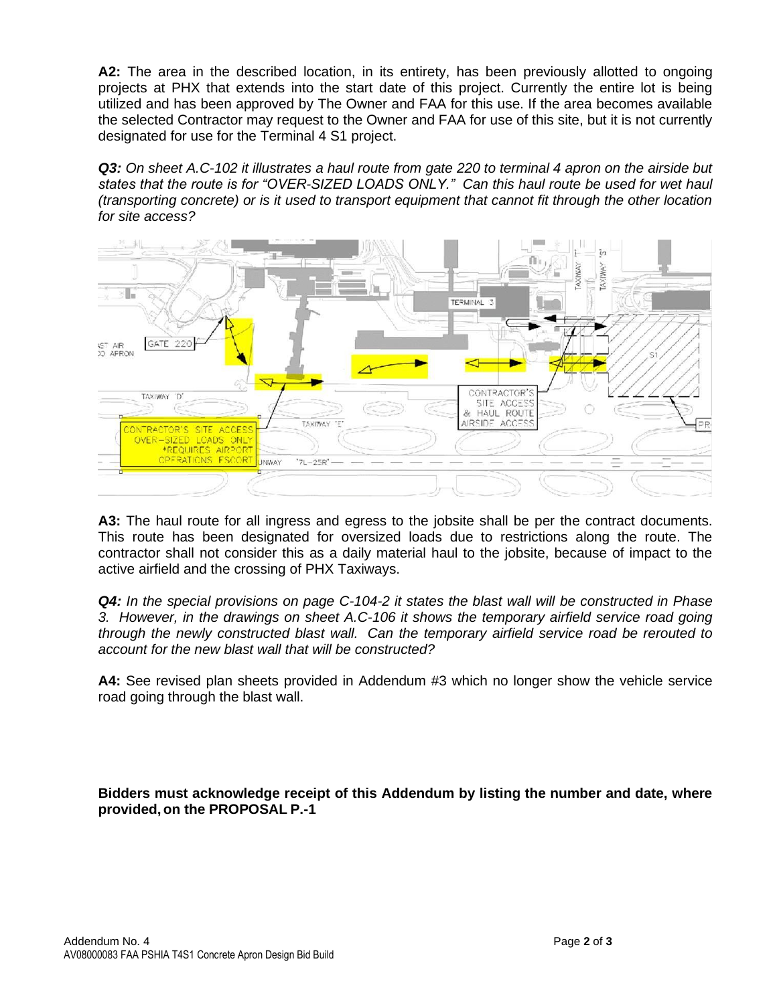**A2:** The area in the described location, in its entirety, has been previously allotted to ongoing projects at PHX that extends into the start date of this project. Currently the entire lot is being utilized and has been approved by The Owner and FAA for this use. If the area becomes available the selected Contractor may request to the Owner and FAA for use of this site, but it is not currently designated for use for the Terminal 4 S1 project.

*Q3: On sheet A.C-102 it illustrates a haul route from gate 220 to terminal 4 apron on the airside but states that the route is for "OVER-SIZED LOADS ONLY." Can this haul route be used for wet haul (transporting concrete) or is it used to transport equipment that cannot fit through the other location for site access?*



**A3:** The haul route for all ingress and egress to the jobsite shall be per the contract documents. This route has been designated for oversized loads due to restrictions along the route. The contractor shall not consider this as a daily material haul to the jobsite, because of impact to the active airfield and the crossing of PHX Taxiways.

*Q4: In the special provisions on page C-104-2 it states the blast wall will be constructed in Phase 3. However, in the drawings on sheet A.C-106 it shows the temporary airfield service road going through the newly constructed blast wall. Can the temporary airfield service road be rerouted to account for the new blast wall that will be constructed?*

**A4:** See revised plan sheets provided in Addendum #3 which no longer show the vehicle service road going through the blast wall.

**Bidders must acknowledge receipt of this Addendum by listing the number and date, where provided, on the PROPOSAL P.-1**